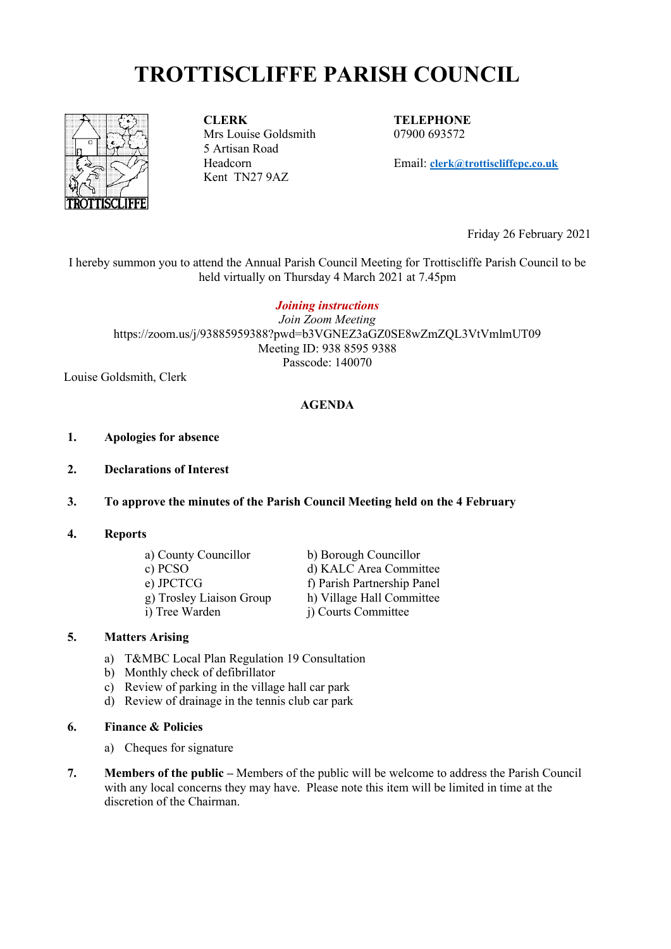# **TROTTISCLIFFE PARISH COUNCIL**



**CLERK** Mrs Louise Goldsmith 5 Artisan Road Headcorn Kent TN27 9AZ

**TELEPHONE** 07900 693572

Email: **[clerk@trottiscliffepc.co.uk](mailto:clerk@trottiscliffepc.co.uk)**

Friday 26 February 2021

I hereby summon you to attend the Annual Parish Council Meeting for Trottiscliffe Parish Council to be held virtually on Thursday 4 March 2021 at 7.45pm

#### *Joining instructions*

*Join Zoom Meeting* https://zoom.us/j/93885959388?pwd=b3VGNEZ3aGZ0SE8wZmZQL3VtVmlmUT09 Meeting ID: 938 8595 9388 Passcode: 140070

Louise Goldsmith, Clerk

#### **AGENDA**

- **1. Apologies for absence**
- **2. Declarations of Interest**
- **3. To approve the minutes of the Parish Council Meeting held on the 4 February**
- **4. Reports**

| a) County Councillor     | b) Borough Councillor       |
|--------------------------|-----------------------------|
| c) PCSO                  | d) KALC Area Committee      |
| e) JPCTCG                | f) Parish Partnership Panel |
| g) Trosley Liaison Group | h) Village Hall Committee   |
| i) Tree Warden           | j) Courts Committee         |

#### **5. Matters Arising**

- a) T&MBC Local Plan Regulation 19 Consultation
- b) Monthly check of defibrillator
- c) Review of parking in the village hall car park
- d) Review of drainage in the tennis club car park
- **6. Finance & Policies**
	- a) Cheques for signature
- **7. Members of the public –** Members of the public will be welcome to address the Parish Council with any local concerns they may have. Please note this item will be limited in time at the discretion of the Chairman.